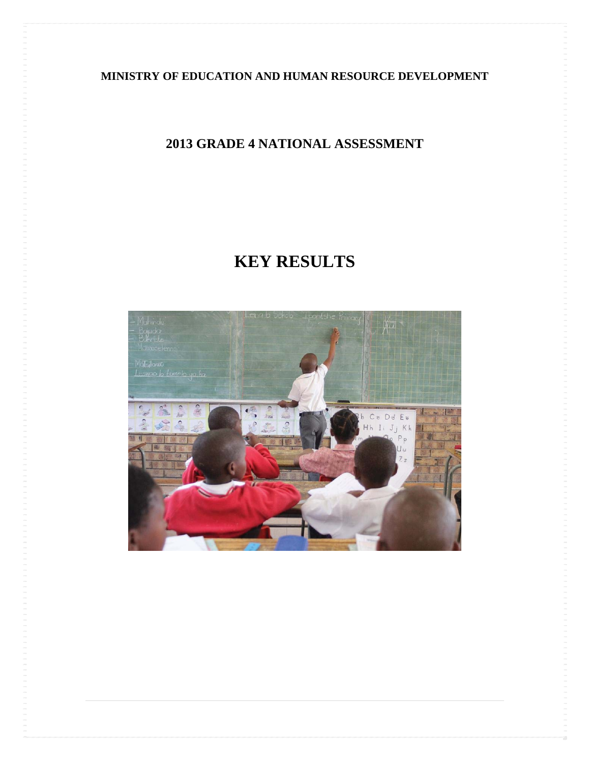**MINISTRY OF EDUCATION AND HUMAN RESOURCE DEVELOPMENT** 

# **2013 GRADE 4 NATIONAL ASSESSMENT**

# **KEY RESULTS**

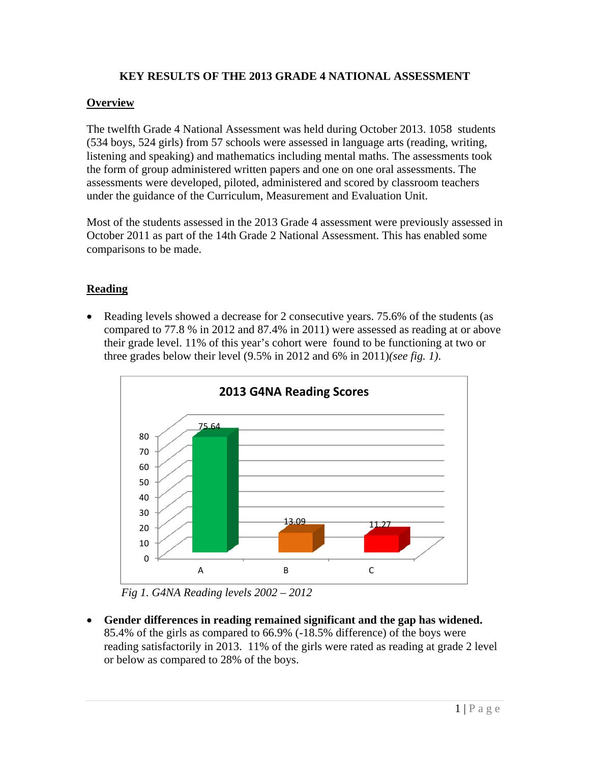## **KEY RESULTS OF THE 2013 GRADE 4 NATIONAL ASSESSMENT**

### **Overview**

The twelfth Grade 4 National Assessment was held during October 2013. 1058 students (534 boys, 524 girls) from 57 schools were assessed in language arts (reading, writing, listening and speaking) and mathematics including mental maths. The assessments took the form of group administered written papers and one on one oral assessments. The assessments were developed, piloted, administered and scored by classroom teachers under the guidance of the Curriculum, Measurement and Evaluation Unit.

Most of the students assessed in the 2013 Grade 4 assessment were previously assessed in October 2011 as part of the 14th Grade 2 National Assessment. This has enabled some comparisons to be made.

## **Reading**

• Reading levels showed a decrease for 2 consecutive years. 75.6% of the students (as compared to 77.8 % in 2012 and 87.4% in 2011) were assessed as reading at or above their grade level. 11% of this year's cohort were found to be functioning at two or three grades below their level (9.5% in 2012 and 6% in 2011)*(see fig. 1)*.



*Fig 1. G4NA Reading levels 2002 – 2012* 

 **Gender differences in reading remained significant and the gap has widened.** 85.4% of the girls as compared to 66.9% (-18.5% difference) of the boys were reading satisfactorily in 2013. 11% of the girls were rated as reading at grade 2 level or below as compared to 28% of the boys.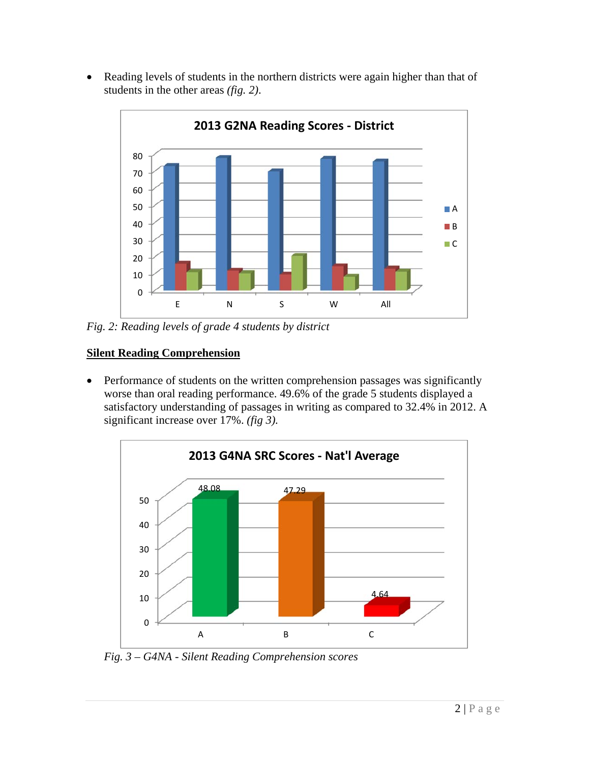• Reading levels of students in the northern districts were again higher than that of students in the other areas *(fig. 2)*.



*Fig. 2: Reading levels of grade 4 students by district* 

# **Silent Reading Comprehension**

• Performance of students on the written comprehension passages was significantly worse than oral reading performance. 49.6% of the grade 5 students displayed a satisfactory understanding of passages in writing as compared to 32.4% in 2012. A significant increase over 17%. *(fig 3).*



*Fig. 3 – G4NA - Silent Reading Comprehension scores*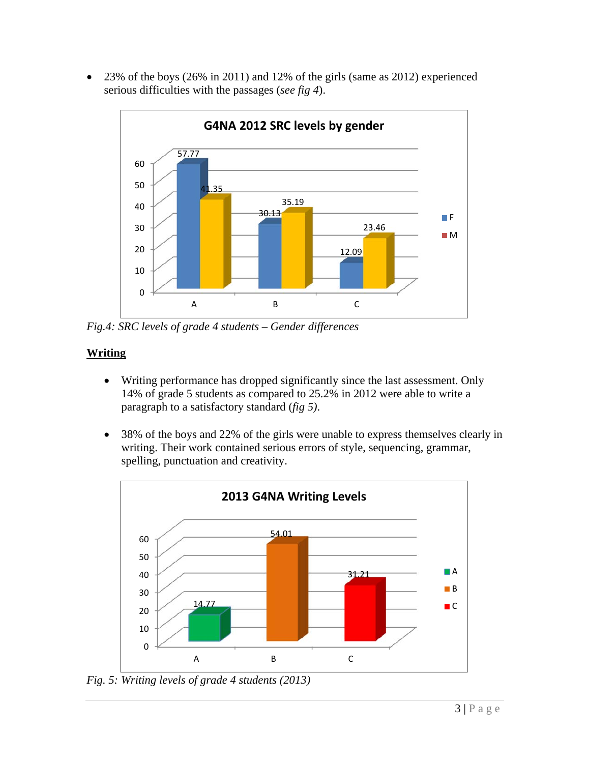• 23% of the boys (26% in 2011) and 12% of the girls (same as 2012) experienced serious difficulties with the passages (*see fig 4*).



*Fig.4: SRC levels of grade 4 students – Gender differences* 

# **Writing**

- Writing performance has dropped significantly since the last assessment. Only 14% of grade 5 students as compared to 25.2% in 2012 were able to write a paragraph to a satisfactory standard (*fig 5)*.
- 38% of the boys and 22% of the girls were unable to express themselves clearly in writing. Their work contained serious errors of style, sequencing, grammar, spelling, punctuation and creativity.



*Fig. 5: Writing levels of grade 4 students (2013)*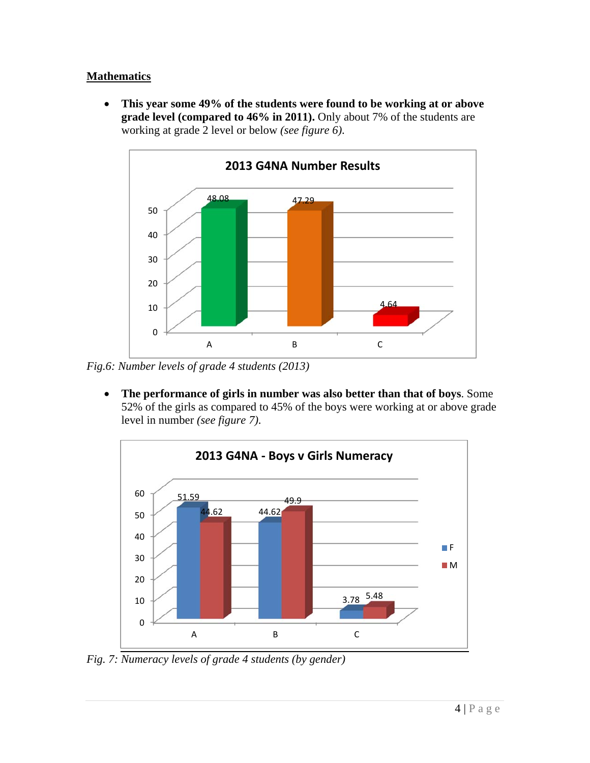## **Mathematics**

 **This year some 49% of the students were found to be working at or above grade level (compared to 46% in 2011).** Only about 7% of the students are working at grade 2 level or below *(see figure 6)*.



*Fig.6: Number levels of grade 4 students (2013)* 

 **The performance of girls in number was also better than that of boys**. Some 52% of the girls as compared to 45% of the boys were working at or above grade level in number *(see figure 7)*.



*Fig. 7: Numeracy levels of grade 4 students (by gender)*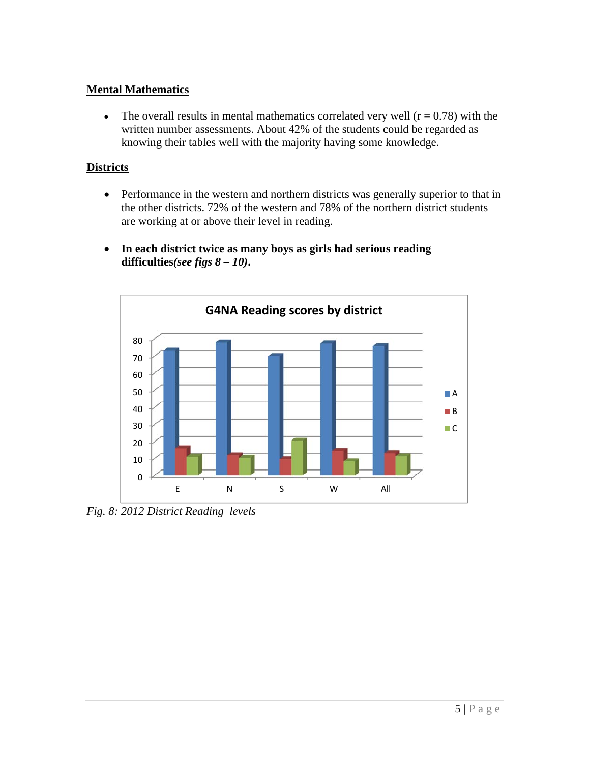#### **Mental Mathematics**

• The overall results in mental mathematics correlated very well  $(r = 0.78)$  with the written number assessments. About 42% of the students could be regarded as knowing their tables well with the majority having some knowledge.

#### **Districts**

- Performance in the western and northern districts was generally superior to that in the other districts. 72% of the western and 78% of the northern district students are working at or above their level in reading.
- **In each district twice as many boys as girls had serious reading difficulties***(see figs 8 – 10)***.**



*Fig. 8: 2012 District Reading levels*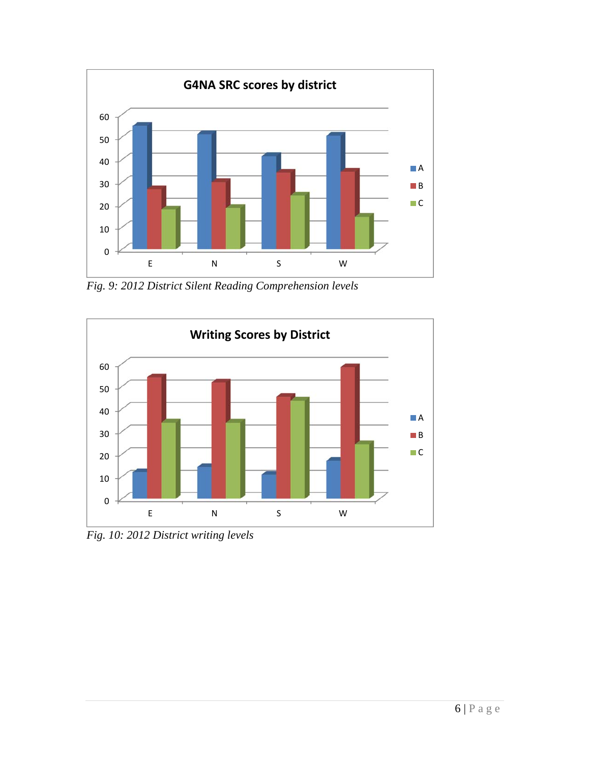

*Fig. 9: 2012 District Silent Reading Comprehension levels* 



*Fig. 10: 2012 District writing levels*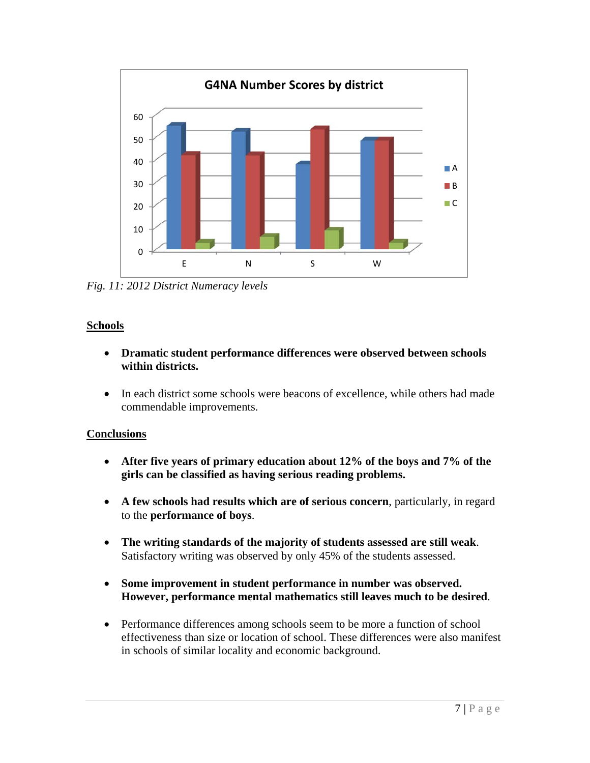

*Fig. 11: 2012 District Numeracy levels* 

#### **Schools**

- **Dramatic student performance differences were observed between schools within districts.**
- In each district some schools were beacons of excellence, while others had made commendable improvements.

### **Conclusions**

- **After five years of primary education about 12% of the boys and 7% of the girls can be classified as having serious reading problems.**
- **A few schools had results which are of serious concern**, particularly, in regard to the **performance of boys**.
- **The writing standards of the majority of students assessed are still weak**. Satisfactory writing was observed by only 45% of the students assessed.
- **Some improvement in student performance in number was observed. However, performance mental mathematics still leaves much to be desired**.
- Performance differences among schools seem to be more a function of school effectiveness than size or location of school. These differences were also manifest in schools of similar locality and economic background.